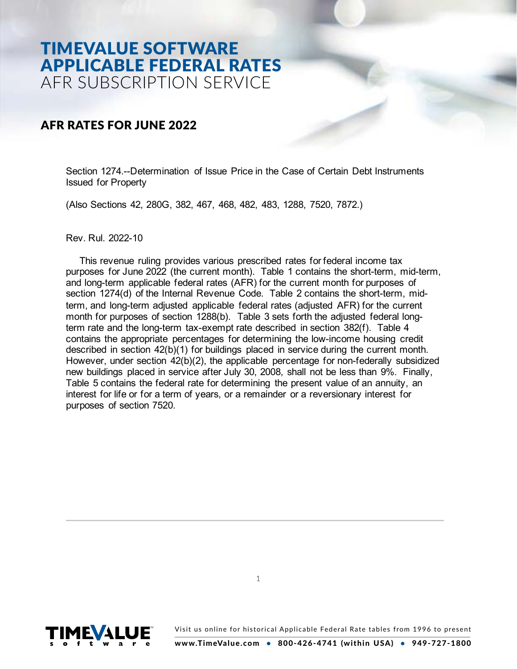# TIMEVALUE SOFTWARE APPLICABLE FEDERAL RATES AFR SUBSCRIPTION SERVICE

### AFR RATES FOR JUNE 2022

Section 1274.--Determination of Issue Price in the Case of Certain Debt Instruments Issued for Property

(Also Sections 42, 280G, 382, 467, 468, 482, 483, 1288, 7520, 7872.)

Rev. Rul. 2022-10

This revenue ruling provides various prescribed rates for federal income tax purposes for June 2022 (the current month). Table 1 contains the short-term, mid-term, and long-term applicable federal rates (AFR) for the current month for purposes of section 1274(d) of the Internal Revenue Code. Table 2 contains the short-term, midterm, and long-term adjusted applicable federal rates (adjusted AFR) for the current month for purposes of section 1288(b). Table 3 sets forth the adjusted federal longterm rate and the long-term tax-exempt rate described in section 382(f). Table 4 contains the appropriate percentages for determining the low-income housing credit described in section 42(b)(1) for buildings placed in service during the current month. However, under section 42(b)(2), the applicable percentage for non-federally subsidized new buildings placed in service after July 30, 2008, shall not be less than 9%. Finally, Table 5 contains the federal rate for determining the present value of an annuity, an interest for life or for a term of years, or a remainder or a reversionary interest for purposes of section 7520.

1

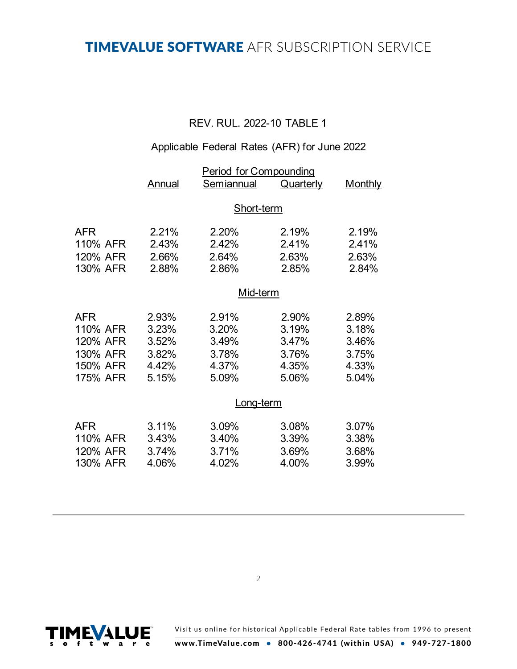## TIMEVALUE SOFTWARE AFR SUBSCRIPTION SERVICE

### REV. RUL. 2022-10 TABLE 1

## Applicable Federal Rates (AFR) for June 2022

|                                                                        | Annual                                             | <b>Period for Compounding</b><br>Semiannual        | <b>Quarterly</b>                                   | <b>Monthly</b>                                     |  |  |
|------------------------------------------------------------------------|----------------------------------------------------|----------------------------------------------------|----------------------------------------------------|----------------------------------------------------|--|--|
|                                                                        | Short-term                                         |                                                    |                                                    |                                                    |  |  |
| <b>AFR</b><br>110% AFR<br>120% AFR<br>130% AFR                         | 2.21%<br>2.43%<br>2.66%<br>2.88%                   | 2.20%<br>2.42%<br>2.64%<br>2.86%                   | 2.19%<br>2.41%<br>2.63%<br>2.85%                   | 2.19%<br>2.41%<br>2.63%<br>2.84%                   |  |  |
|                                                                        | Mid-term                                           |                                                    |                                                    |                                                    |  |  |
| <b>AFR</b><br>110% AFR<br>120% AFR<br>130% AFR<br>150% AFR<br>175% AFR | 2.93%<br>3.23%<br>3.52%<br>3.82%<br>4.42%<br>5.15% | 2.91%<br>3.20%<br>3.49%<br>3.78%<br>4.37%<br>5.09% | 2.90%<br>3.19%<br>3.47%<br>3.76%<br>4.35%<br>5.06% | 2.89%<br>3.18%<br>3.46%<br>3.75%<br>4.33%<br>5.04% |  |  |
|                                                                        | <u>Long-term</u>                                   |                                                    |                                                    |                                                    |  |  |
| <b>AFR</b><br>110% AFR<br>120% AFR<br>130% AFR                         | 3.11%<br>3.43%<br>3.74%<br>4.06%                   | 3.09%<br>3.40%<br>3.71%<br>4.02%                   | 3.08%<br>3.39%<br>3.69%<br>4.00%                   | 3.07%<br>3.38%<br>3.68%<br>3.99%                   |  |  |

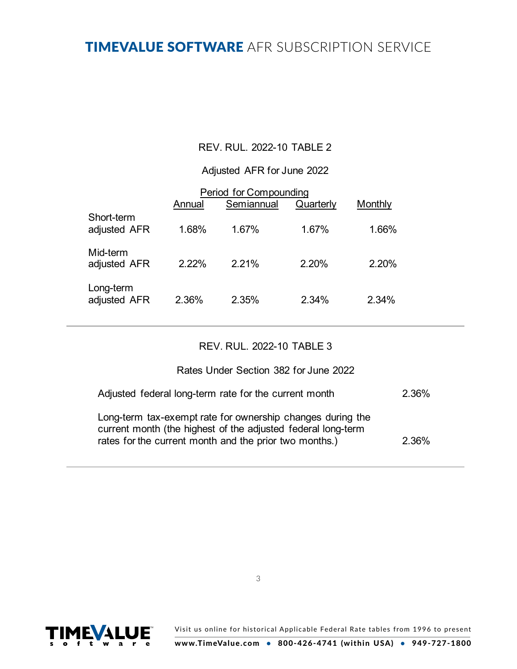## TIMEVALUE SOFTWARE AFR SUBSCRIPTION SERVICE

#### REV. RUL. 2022-10 TABLE 2

#### Adjusted AFR for June 2022

|                            | Annual | Period for Compounding<br>Semiannual | Quarterly | Monthly |  |
|----------------------------|--------|--------------------------------------|-----------|---------|--|
| Short-term<br>adjusted AFR | 1.68%  | 1.67%                                | 1.67%     | 1.66%   |  |
| Mid-term<br>adjusted AFR   | 2.22%  | 2.21%                                | 2.20%     | 2.20%   |  |
| Long-term<br>adjusted AFR  | 2.36%  | 2.35%                                | 2.34%     | 2.34%   |  |

#### REV. RUL. 2022-10 TABLE 3

#### Rates Under Section 382 for June 2022

| Adjusted federal long-term rate for the current month                                                                                                                                | 2.36% |
|--------------------------------------------------------------------------------------------------------------------------------------------------------------------------------------|-------|
| Long-term tax-exempt rate for ownership changes during the<br>current month (the highest of the adjusted federal long-term<br>rates for the current month and the prior two months.) | 2.36% |